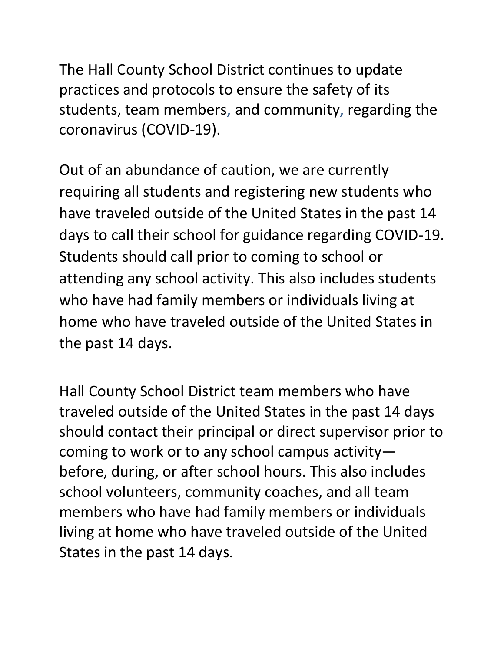The Hall County School District continues to update practices and protocols to ensure the safety of its students, team members, and community, regarding the coronavirus (COVID-19).

Out of an abundance of caution, we are currently requiring all students and registering new students who have traveled outside of the United States in the past 14 days to call their school for guidance regarding COVID-19. Students should call prior to coming to school or attending any school activity. This also includes students who have had family members or individuals living at home who have traveled outside of the United States in the past 14 days.

Hall County School District team members who have traveled outside of the United States in the past 14 days should contact their principal or direct supervisor prior to coming to work or to any school campus activity before, during, or after school hours. This also includes school volunteers, community coaches, and all team members who have had family members or individuals living at home who have traveled outside of the United States in the past 14 days.